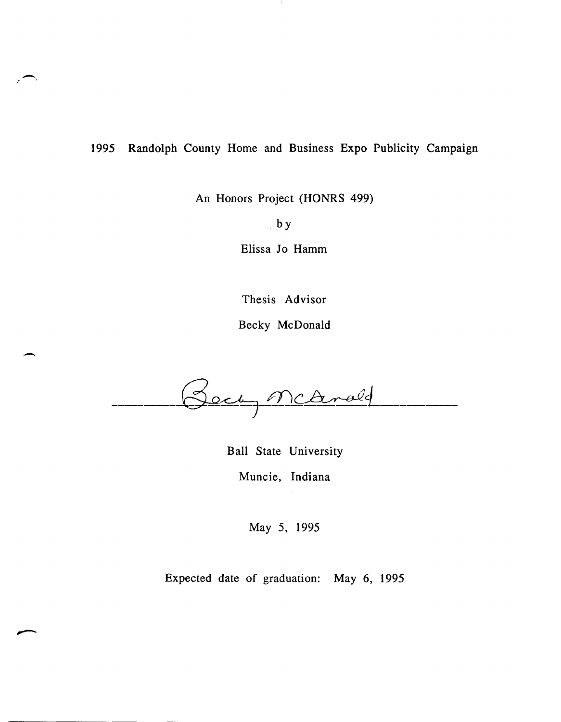### 1995 Randolph County Home and Business Expo Publicity Campaign

 $\overline{\phantom{0}}$ 

 $\overline{\phantom{0}}$ 

An Honors Project (HONRS 499)

by

Elissa Jo Hamm

Thesis Advisor

Becky McDonald

Beck, McArald

Ball State University Muncie, Indiana

May 5, 1995

Expected date of graduation: May 6, 1995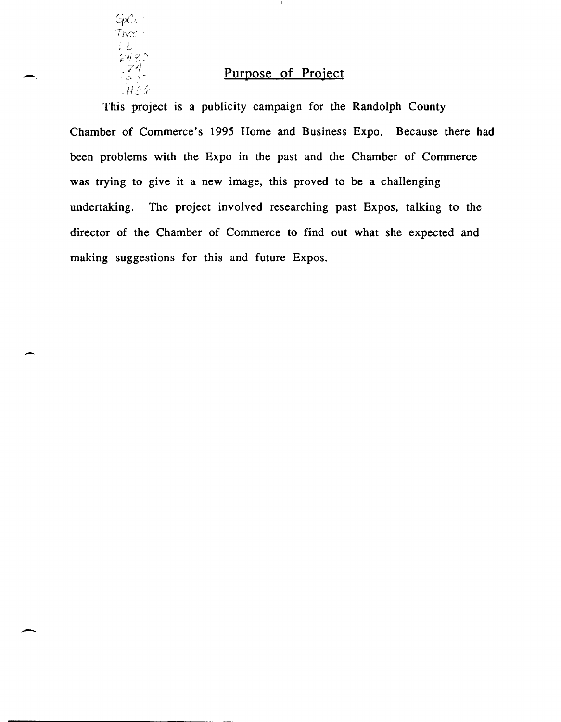$SpC_2\mathbb{H}$  $+$ h $e$ s $\approx$ *2489*<br>2489<br>- 24 **Purpose of Project**  $H$ 26

 $\overline{\phantom{0}}$ 

-

This project is a publicity campaign for the Randolph County Chamber of Commerce's 1995 Home and Business Expo. Because there had been problems with the Expo in the past and the Chamber of Commerce was trying to give it a new image, this proved to be a challenging undertaking. The project involved researching past Expos, talking to the director of the Chamber of Commerce to find out what she expected and making suggestions for this and future Expos.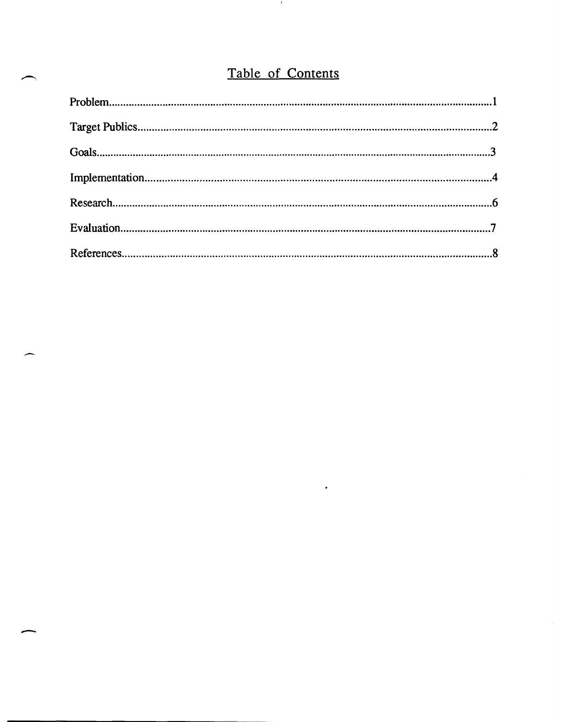# Table of Contents

**H** 

| $Problem 1.1$ |  |
|---------------|--|
|               |  |
|               |  |
|               |  |
|               |  |
|               |  |
|               |  |

 $\bullet$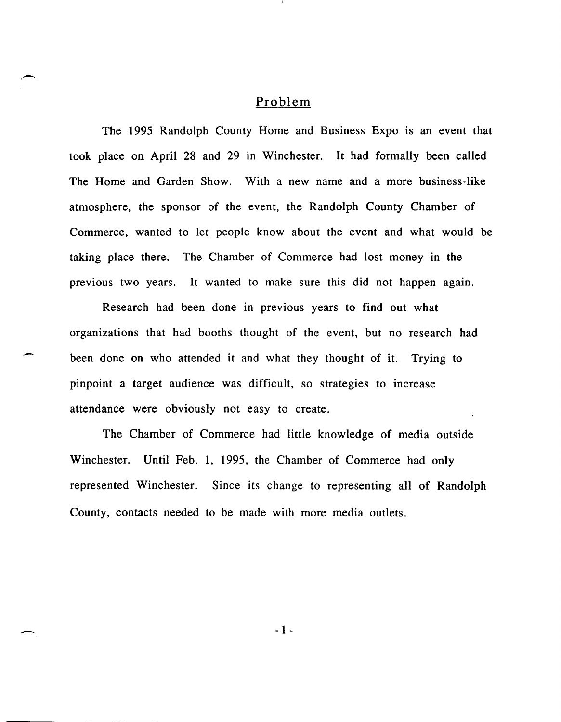#### Problem

.-

-

The 1995 Randolph County Home and Business Expo is an event that took place on April 28 and 29 in Winchester. It had formally been called The Home and Garden Show. With a new name and a more business-like atmosphere, the sponsor of the event, the Randolph County Chamber of Commerce, wanted to let people know about the event and what would be taking place there. The Chamber of Commerce had lost money in the previous two years. It wanted to make sure this did not happen again.

Research had been done in previous years to find out what organizations that had booths thought of the event, but no research had been done on who attended it and what they thought of it. Trying to pinpoint a target audience was difficult, so strategies to increase attendance were obviously not easy to create.

The Chamber of Commerce had little knowledge of media outside Winchester. Until Feb. 1, 1995, the Chamber of Commerce had only represented Winchester. Since its change to representing all of Randolph County, contacts needed to be made with more media outlets.

- 1 -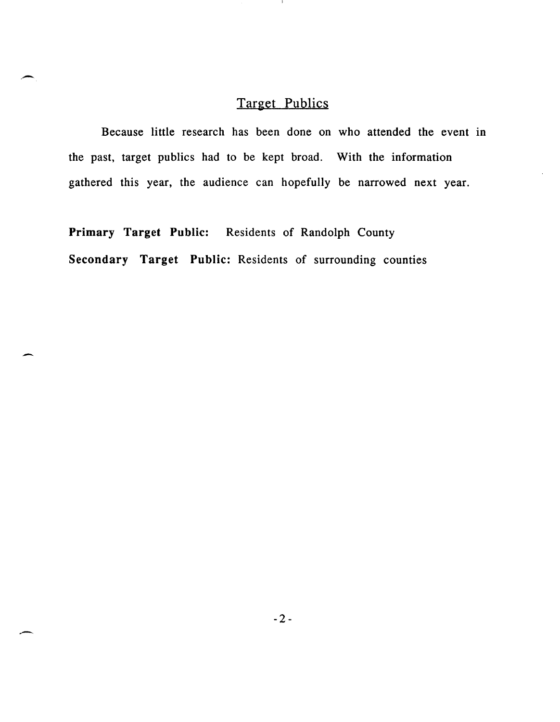# Target Publics

л.

Because little research has been done on who attended the event in the past, target publics had to be kept broad. With the information gathered this year, the audience can hopefully be narrowed next year.

Primary Target Public: Residents of Randolph County Secondary Target Public: Residents of surrounding counties

,-

-

-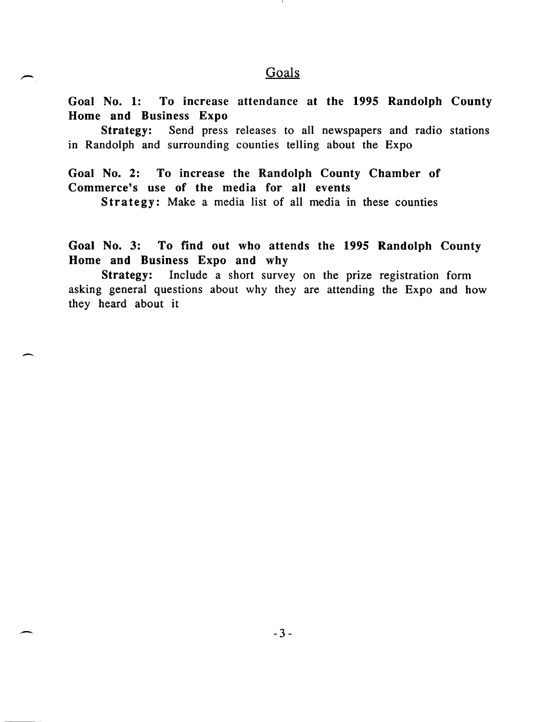### Goals

Goal No.1: To increase attendance at the 1995 Randolph County Home and Business Expo

Strategy: Send press releases to all newspapers and radio stations in Randolph and surrounding counties telling about the Expo

Goal No.2: To increase the Randolph County Chamber of Commerce's use of the media for all events

-

,-

Strategy: Make a media list of all media in these counties

Goal No.3: To find out who attends the 1995 Randolph County Home and Business Expo and why

Strategy: Include a short survey on the prize registration form asking general questions about why they are attending the Expo and how they heard about it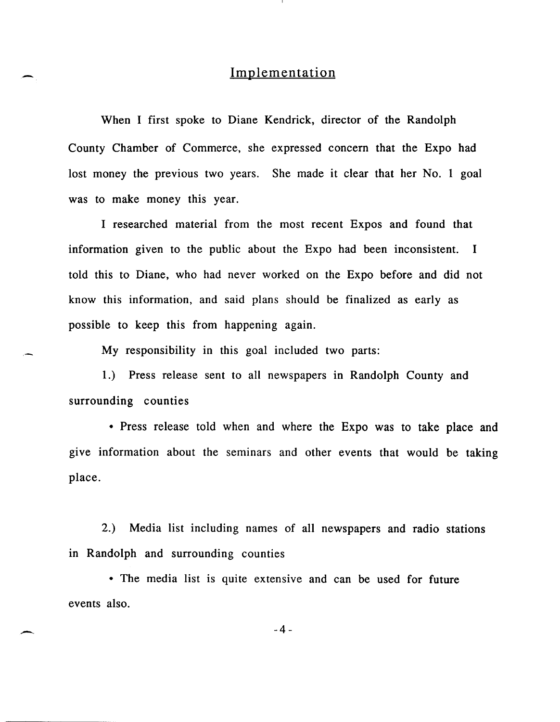### Implementation

When I first spoke to Diane Kendrick, director of the Randolph County Chamber of Commerce, she expressed concern that the Expo had lost money the previous two years. She made it clear that her No. 1 goal was to make money this year.

I researched material from the most recent Expos and found that information given to the public about the Expo had been inconsistent. I told this to Diane, who had never worked on the Expo before and did not know this information, and said plans should be finalized as early as possible to keep this from happening again.

My responsibility in this goal included two parts:

1.) Press release sent to all newspapers in Randolph County and surrounding counties

• Press release told when and where the Expo was to take place and give information about the seminars and other events that would be taking place.

2.) Media list including names of all newspapers and radio stations in Randolph and surrounding counties

• The media list is quite extensive and can be used for future events also.

-4-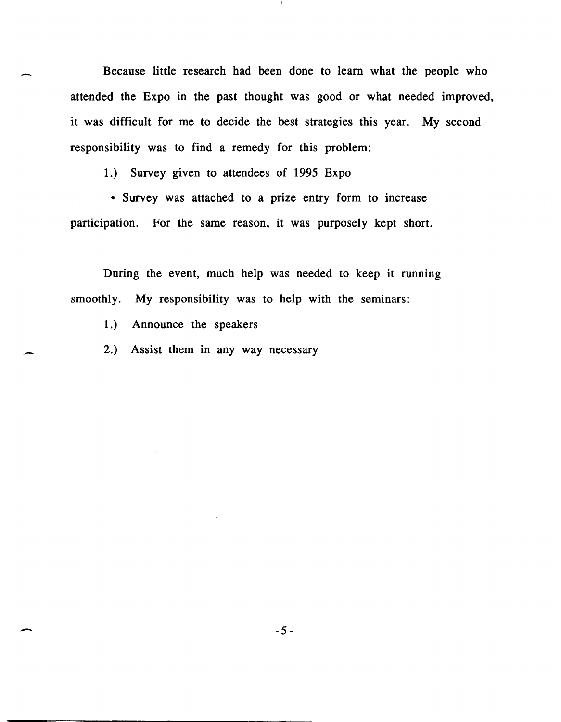Because little research had been done to learn what the people who attended the Expo in the past thought was good or what needed improved, it was difficult for me to decide the best strategies this year. My second responsibility was to find a remedy for this problem:

1.) Survey given to attendees of 1995 Expo

• Survey was attached to a prize entry form to increase participation. For the same reason, it was purposely kept short.

During the event, much help was needed to keep it running smoothly. My responsibility was to help with the seminars:

1.) Announce the speakers

2.) Assist them in any way necessary

 $\sim$  -5-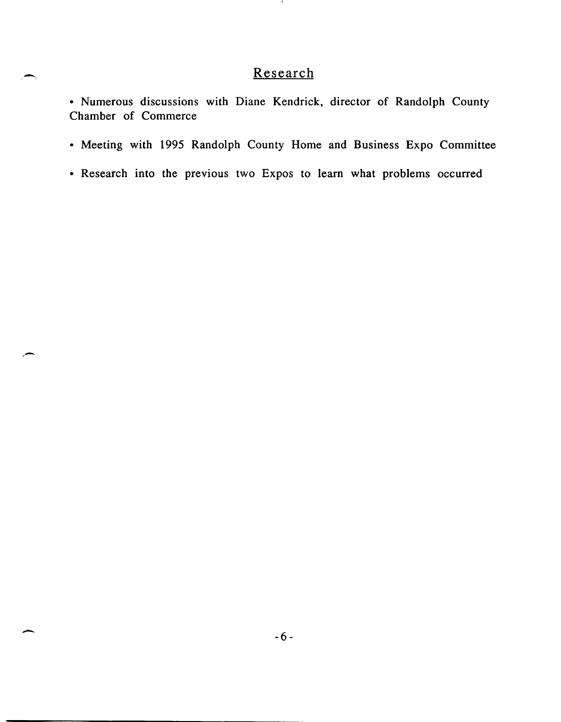# Research

 $\mathbf{L}$ 

-,

-

• Numerous discussions with Diane Kendrick, director of Randolph County Chamber of Commerce

- Meeting with 1995 Randolph County Home and Business Expo Committee
- Research into the previous two Expos to learn what problems occurred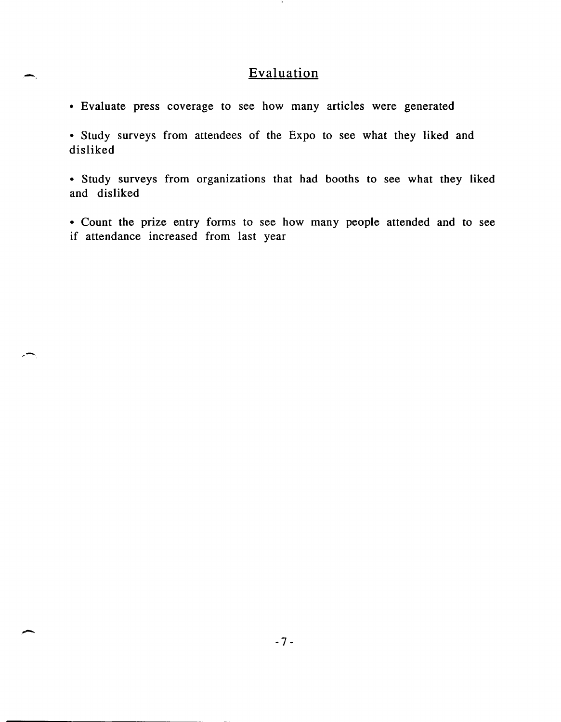## Evaluation

• Evaluate press coverage to see how many articles were generated

-,

-

• Study surveys from attendees of the Expo to see what they liked and disliked

• Study surveys from organizations that had booths to see what they liked and disliked

• Count the prize entry forms to see how many people attended and to see if attendance increased from last year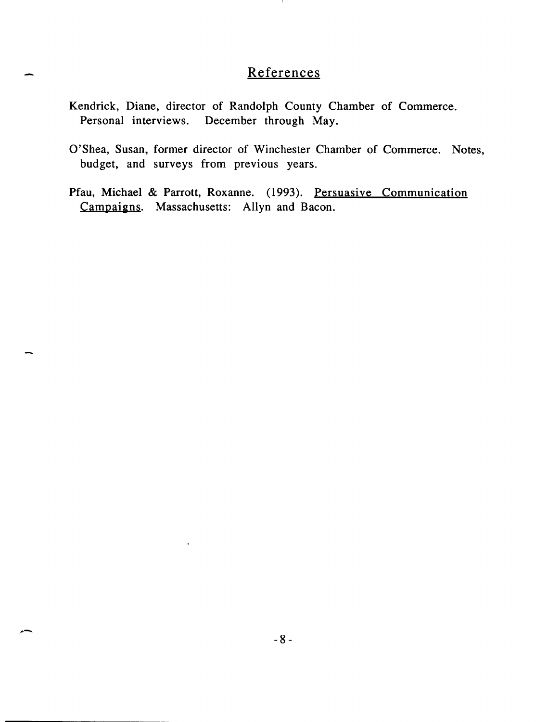# References

- Kendrick, Diane, director of Randolph County Chamber of Commerce. Personal interviews. December through May.
- O'Shea, Susan, former director of Winchester Chamber of Commerce. Notes, budget, and surveys from previous years.
- Pfau, Michael & Parrott, Roxanne. (1993). Persuasive Communication Campaigns. Massachusetts: Allyn and Bacon.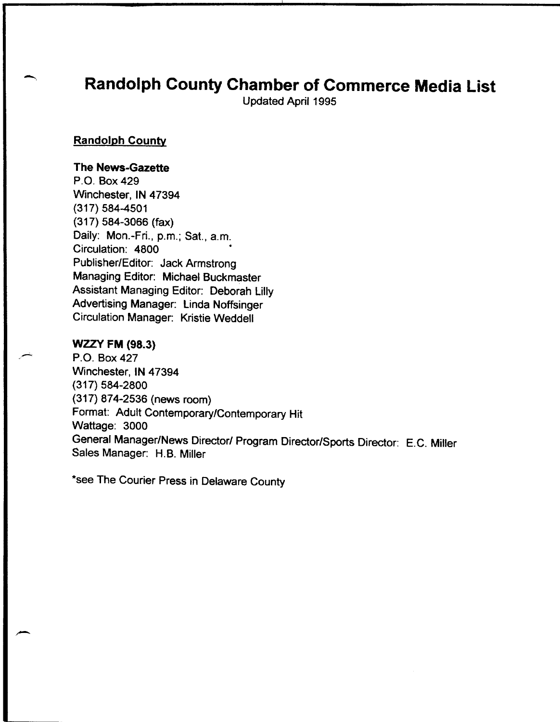# Randolph County Chamber of Commerce Media List

Updated April 1995

#### Randolph County

#### The News-Gazette

P.O. Box 429 Winchester, IN 47394 (317) 584-4501 (317) 584-3066 (fax) Daily: Mon.-Fri., p.m.; Sat., a.m. Circulation: 4800 Publisher/Editor: Jack Armstrong Managing Editor: Michael Buckmaster Assistant Managing Editor: Deborah Lilly Advertising Manager: Linda Noffsinger Circulation Manager: Kristie Weddell

#### WZZV FM (98.3)

P.O. Box 427 Winchester, IN 47394 (317) 584-2800 (317) 874-2536 (news room) Format: Adult Contemporary!Contemporary Hit Wattage: 3000 General Manager/News Director/ Program Director/Sports Director: E.C. Miller Sales Manager: H.B. Miller

\*see The Courier Press in Delaware County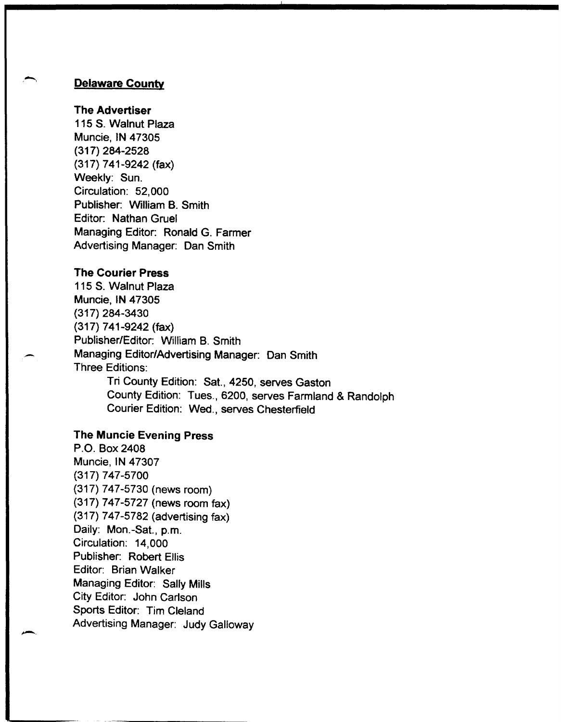#### Delaware County

#### The Advertiser

115 S. Walnut Plaza Muncie, IN 47305 (317) 284-2528 (317) 741-9242 (fax) Weekly: Sun. Circulation: 52,000 Publisher: William B. Smith Editor: Nathan Gruel Managing Editor: Ronald G. Farmer Advertising Manager: Dan Smith

#### The Courier Press

-

-.

115 S. Walnut Plaza Muncie, IN 47305 (317) 284-3430 (317) 741-9242 (fax) Publisher/Editor: William B. Smith Managing EditorlAdvertising Manager: Dan Smith Three Editions: Tri County Edition: Sat., 4250, serves Gaston

County Edition: Tues., 6200, serves Farmland & Randolph Courier Edition: Wed., serves Chesterfield

#### The Muncie Evening Press

P.O. Box 2408 Muncie, IN 47307 (317) 747-5700 (317) 747-5730 (news room) (317) 747-5727 (news room fax) (317) 747-5782 (advertising fax) Daily: Mon.-Sat., p.m. Circulation: 14,000 Publisher: Robert Ellis Editor: Brian Walker Managing Editor: Sally Mills City Editor: John Carlson Sports Editor: Tim Cleland Advertising Manager: Judy Galloway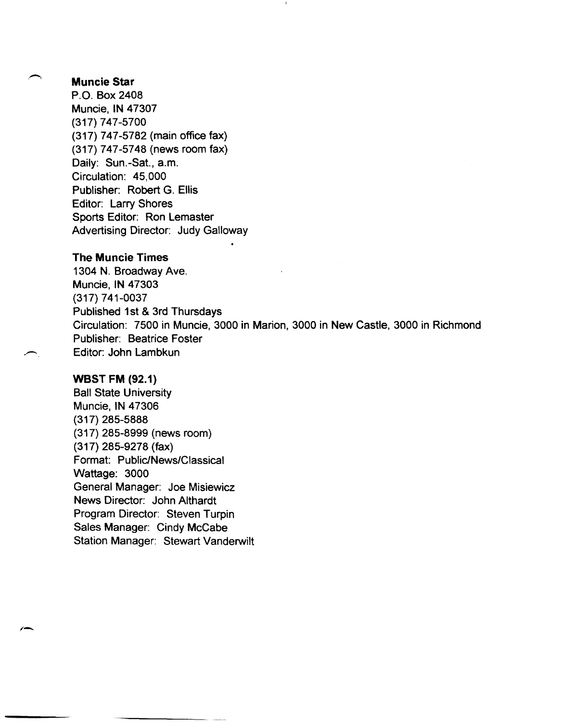#### Muncie Star

P.O. Box 2408 Muncie, IN 47307 (317) 747-5700 (317) 747-5782 (main office fax) (317) 747-5748 (news room fax) Daily: Sun.-Sat., a.m. Circulation: 45,000 Publisher: Robert G. Ellis Editor: Larry Shores Sports Editor: Ron Lemaster Advertising Director: Judy Galloway

#### The Muncie Times

1304 N. Broadway Ave. Muncie, IN 47303 (317) 741-0037 Published 1st & 3rd Thursdays Circulation: 7500 in Muncie, 3000 in Marion, 3000 in New Castle, 3000 in Richmond Publisher: Beatrice Foster Editor: John Lambkun

#### weST FM (92.1)

Ball State University Muncie, IN 47306 (317) 285-5888 (317) 285-8999 (news room) (317) 285-9278 (fax) Format: Public/News/Classical Wattage: 3000 General Manager: Joe Misiewicz News Director: John Althardt Program Director: Steven Turpin Sales Manager: Cindy McCabe Station Manager: Stewart Vanderwilt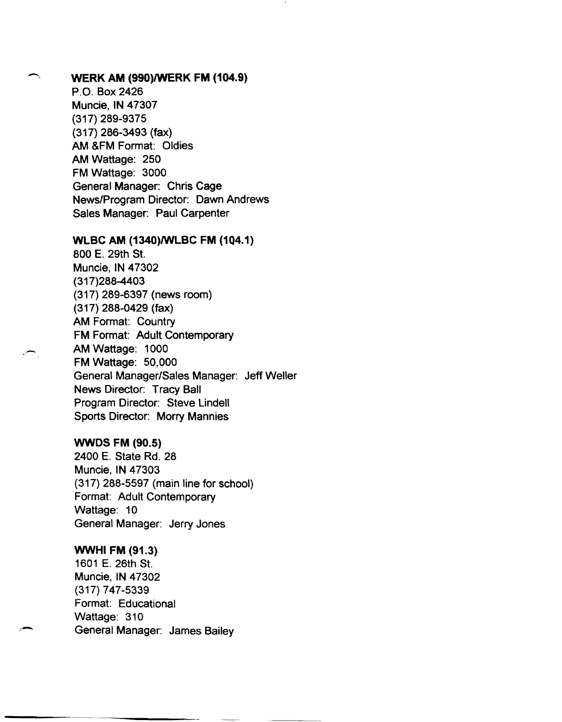### WERK AM (990)/WERK FM (104.9)

P.O. Box 2426 Muncie, IN 47307 (317) 289-9375 (317) 286-3493 (fax) AM &FM Format: Oldies AM Wattage: 250 FM Wattage: 3000 General Manager: Chris Cage News/Program Director: Dawn Andrews Sales Manager: Paul Carpenter

#### WLBC AM (1340)/WLBC FM (104.1)

800 E. 29th St. Muncie, IN 47302 (317)288-4403 (317) 289-6397 (news room) (317) 288-0429 (fax) AM Format: Country FM Format: Adult Contemporary AM Wattage: 1000 FM Wattage: 50,000 General Manager/Sales Manager: Jeff Weller News Director: Tracy Ball Program Director: Steve Lindell Sports Director: Morry Mannies

#### WWDS FM (90.5)

2400 E. State Rd. 28 Muncie, IN 47303 (317) 288-5597 (main line for school) Format: Adult Contemporary Wattage: 10 General Manager: Jerry Jones

#### WWHI FM (91.3)

 $\overline{a}$ 

1601 E. 26th St. Muncie, IN 47302 (317) 747-5339 Format: Educational Wattage: 310 General Manager: James Bailey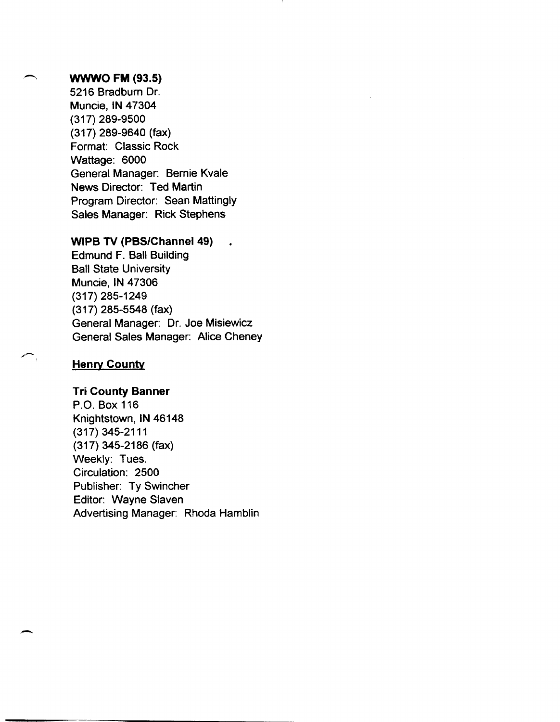#### **WWWO FM (93.5)**

5216 Bradburn Dr. Muncie, **IN** 47304 (317) 289-9500 (317) 289-9640 (fax) Format: Classic Rock Wattage: 6000 General Manager: Bernie Kvale News Director: Ted Martin Program Director: Sean Mattingly Sales Manager: Rick Stephens

#### **WIPB TV (PBS/Channel 49)**

Edmund F. Ball Building Ball State University Muncie, **IN** 47306 (317) 285-1249 (317) 285-5548 (fax) General Manager: Dr. Joe Misiewicz General Sales Manager: Alice Cheney

#### **Henry County**

 $\overline{\phantom{a}}$ 

#### **Tri County Banner**

P.O. Box 116 Knightstown, **IN** 46148 (317) 345-2111 (317) 345-2186 (fax) Weekly: Tues. Circulation: 2500 Publisher: Ty Swincher Editor: Wayne Slaven Advertising Manager: Rhoda Hamblin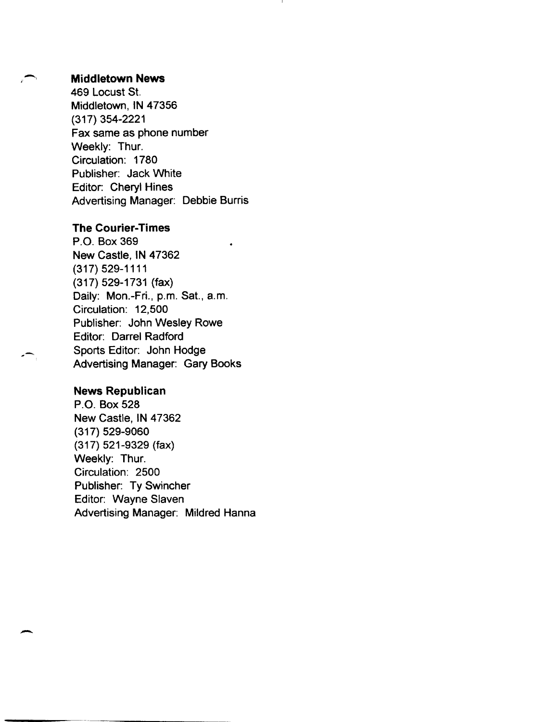#### **Middletown News**

469 Locust St. Middletown, IN 47356 (317) 354-2221 Fax same as phone number Weekly: Thur. Circulation: 1780 Publisher: Jack White Editor: Cheryl Hines Advertising Manager: Debbie Burris

#### The Courier-Times

P.O. Box 369 New Castle, IN 47362 (317) 529-1111 (317) 529-1731 (fax) Daily: Mon.-Fri., p.m. Sat., a.m. Circulation: 12,500 Publisher: John Wesley Rowe Editor: Darrel Radford Sports Editor: John Hodge Advertising Manager: Gary Books

#### News Republican

-

P.O. Box 528 New Castle, IN 47362 (317) 529-9060 (317) 521-9329 (fax) Weekly: Thur. Circulation: 2500 Publisher: Ty Swincher Editor: Wayne Slaven Advertising Manager: Mildred Hanna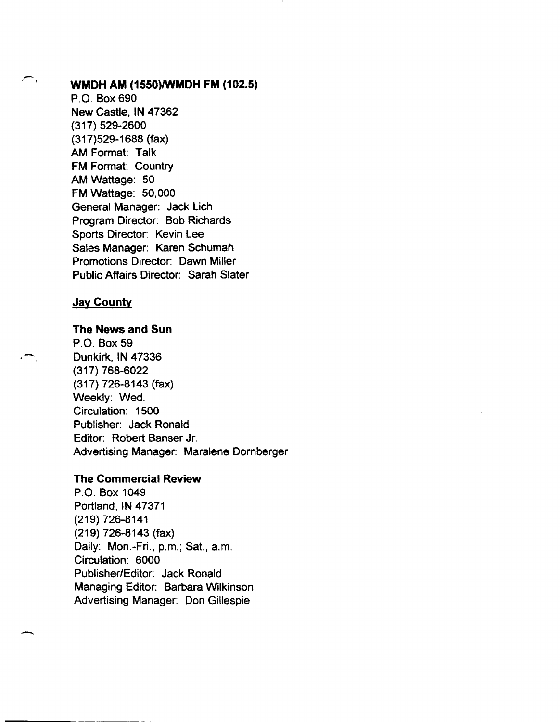.-

#### ,-, WMDH AM (1550)/WMDH FM (102.5)

P.O. Box 690 New Castle, IN 47362 (317) 529-2600 (317)529-1688 (fax) AM Format: Talk FM Format: Country AM Wattage: 50 FM Wattage: 50,000 General Manager: Jack Lich Program Director: Bob Richards Sports Director: Kevin Lee Sales Manager: Karen Schuman Promotions Director: Dawn Miller Public Affairs Director: Sarah Slater

#### **Jay County**

The News and Sun

P.O. Box 59 Dunkirk, IN 47336 (317) 768-6022 (317) 726-8143 (fax) Weekly: Wed. Circulation: 1500 Publisher: Jack Ronald Editor: Robert Banser Jr. Advertising Manager: Maralene Dornberger

#### The Commercial Review

P.O. Box 1049 Portland, IN 47371 (219) 726-8141 (219) 726-8143 (fax) Daily: Mon.-Fri., p.m.; Sat., a.m. Circulation: 6000 Publisher/Editor: Jack Ronald Managing Editor: Barbara Wilkinson Advertising Manager: Don Gillespie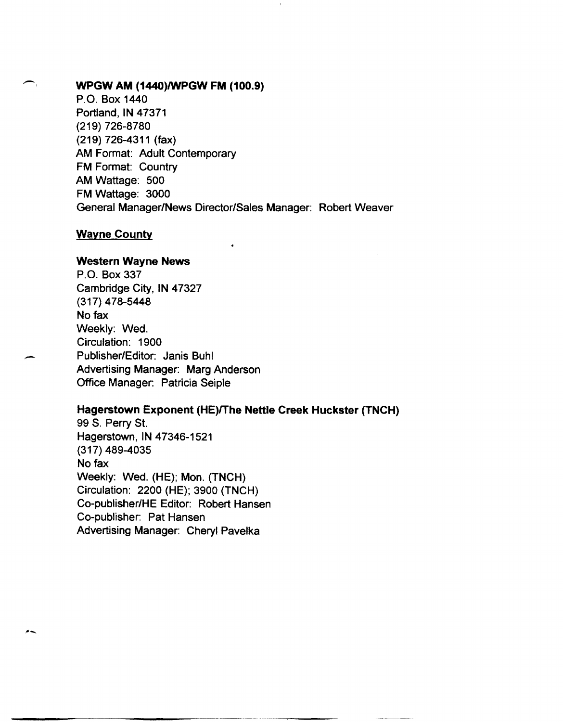#### WPGW AM (1440)/WPGW FM (100.9)

P.O. Box 1440 Portland, IN 47371 (219) 726-8780 (219) 726-4311 (fax) AM Format: Adult Contemporary FM Format: Country AM Wattage: 500 FM Wattage: 3000 General Manager/News Director/Sales Manager: Robert Weaver

#### **Wayne County**

--

--

#### Western Wayne News

P.O. Box 337 Cambridge City, IN 47327 (317) 478-5448 No fax Weekly: Wed. Circulation: 1900 Publisher/Editor: Janis Buhl Advertising Manager: Marg Anderson Office Manager: Patricia Seiple

#### Hagerstown Exponent (HE)/The Nettle Creek Huckster (TNCH)

99 S. Perry St. Hagerstown, IN 47346-1521 (317) 489-4035 No fax Weekly: Wed. (HE); Mon. (TNCH) Circulation: 2200 (HE); 3900 (TNCH) Co-publisher/HE Editor: Robert Hansen Co-publisher: Pat Hansen Advertising Manager: Cheryl Pavelka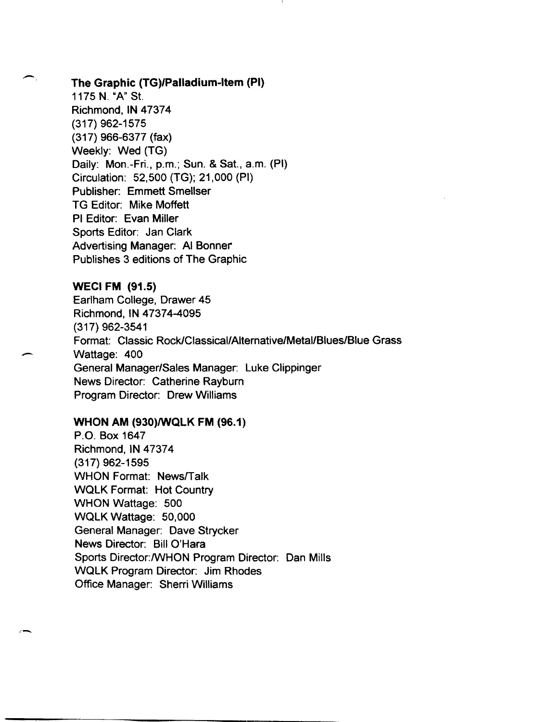#### The Graphic (TG)/Palladium-Item (PI)

1175 N. "A" St. Richmond, IN 47374 (317) 962-1575 (317) 966-6377 (fax) Weekly: Wed (TG) Daily: Mon.-Fri., p.m.; Sun. & Sat., a.m. (PI) Circulation: 52,500 (TG); 21,000 (PI) Publisher: Emmett Smellser TG Editor: Mike Moffett PI Editor: Evan Miller Sports Editor: Jan Clark Advertising Manager: AI Bonner Publishes 3 editions of The Graphic

WECI FM (91.5) Earlham College, Drawer 45 Richmond, IN 47374-4095 (317) 962-3541 Format: Classic Rock/Classical/Alternative/Metal/Blues/Blue Grass Wattage: 400 General Manager/Sales Manager: Luke Clippinger News Director: Catherine Rayburn Program Director: Drew Williams

#### WHON AM (930)/WQLK FM (96.1)

 $\overline{ }$ 

P.O. Box 1647 Richmond, IN 47374 (317) 962-1595 WHON Format: News/Talk WQlK Format: Hot Country WHON Wattage: 500 WQlK Wattage: 50,000 General Manager: Dave Strycker News Director: Bill O'Hara Sports Director:/WHON Program Director: Dan Mills WQlK Program Director: Jim Rhodes Office Manager: Sherri Williams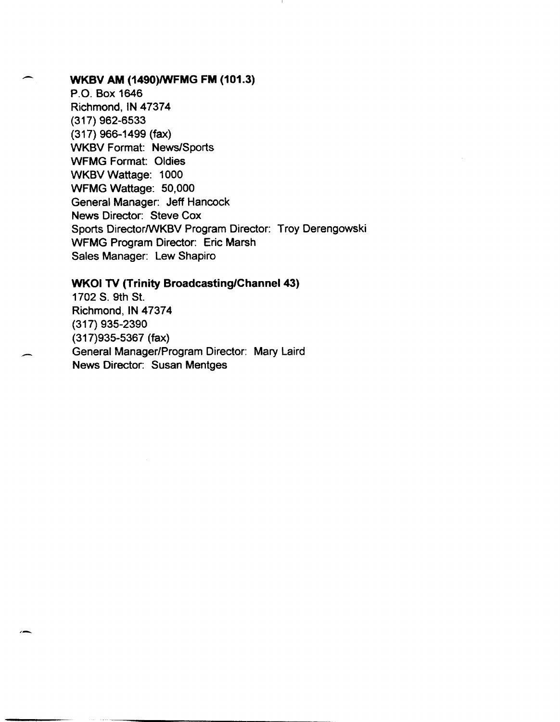### WKBV AM (1490)/WFMG FM (101.3)

--

-

P.O. Box 1646 Richmond, IN 47374 (317) 962-6533 (317) 966-1499 (fax) WKBV Format: News/Sports WFMG Format: Oldies WKBV Wattage: 1000 WFMG Wattage: 50,000 General Manager: Jeff Hancock News Director: Steve Cox Sports Director/WKBV Program Director: Troy Derengowski WFMG Program Director: Eric Marsh Sales Manager: Lew Shapiro

#### WKOI TV (Trinity Broadcasting/Channel 43)

1702 S. 9th St. Richmond, IN 47374 (317) 935-2390 (317)935-5367 (fax) General Manager/Program Director: Mary Laird News Director: Susan Mentges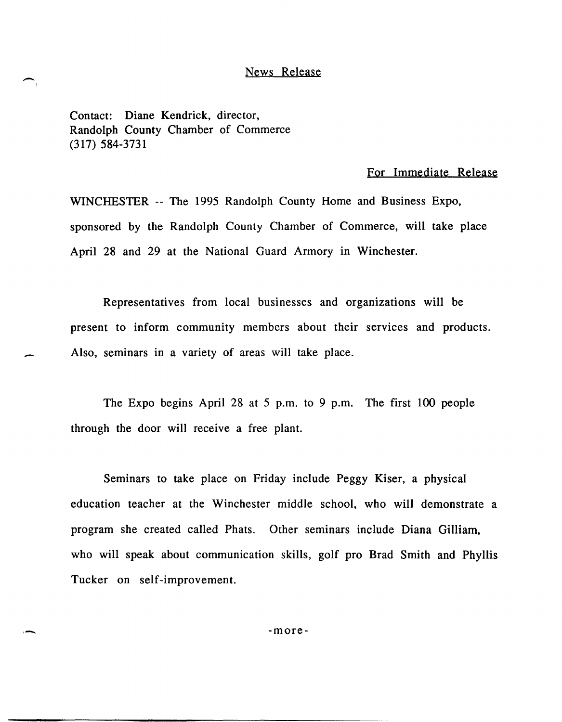#### News Release

Contact: Diane Kendrick, director, Randolph County Chamber of Commerce (317) 584-3731

 $\overline{\phantom{0}}$ 

-

,-

#### For Immediate Release

WINCHESTER -- The 1995 Randolph County Home and Business Expo, sponsored by the Randolph County Chamber of Commerce, will take place April 28 and 29 at the National Guard Armory in Winchester.

Representatives from local businesses and organizations will be present to inform community members about their services and products. Also, seminars in a variety of areas will take place.

The Expo begins April 28 at 5 p.m. to 9 p.m. The first 100 people through the door will receive a free plant.

Seminars to take place on Friday include Peggy Kiser, a physical education teacher at the Winchester middle school, who will demonstrate a program she created called Phats. Other seminars include Diana Gilliam, who will speak about communication skills, golf pro Brad Smith and Phyllis Tucker on self-improvement.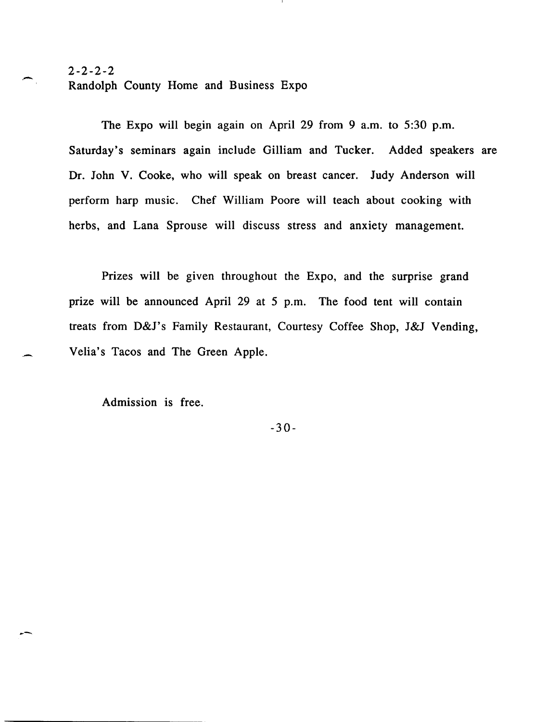# $2-2-2-2$ <br>Randolph County Home and Business Expo

The Expo will begin again on April 29 from 9 a.m. to 5:30 p.m. Saturday's seminars again include Gilliam and Tucker. Added speakers are Dr. John V. Cooke, who will speak on breast cancer. Judy Anderson will perform harp music. Chef William Poore will teach about cooking with herbs, and Lana Sprouse will discuss stress and anxiety management.

Prizes will be given throughout the Expo, and the surprise grand prize will be announced April 29 at 5 p.m. The food tent will contain treats from D&J's Family Restaurant, Courtesy Coffee Shop, J&J Vending, Velia's Tacos and The Green Apple.

Admission is free.

--

-30-